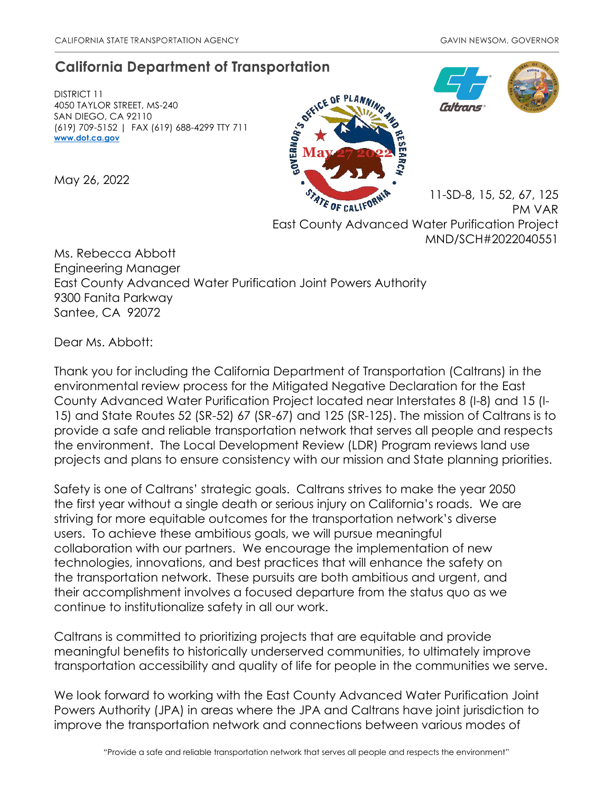# **California Department of Transportation**

DISTRICT 11 4050 TAYLOR STREET, MS-240 SAN DIEGO, CA 92110 (619) 709-5152 | FAX (619) 688-4299 TTY 711 **[www.dot.ca.gov](http://www.dot.ca.gov/)**

May 26, 2022





11-SD-8, 15, 52, 67, 125 ATE OF CALIFOT PM VAR East County Advanced Water Purification Project MND/SCH#2022040551

Ms. Rebecca Abbott Engineering Manager East County Advanced Water Purification Joint Powers Authority 9300 Fanita Parkway Santee, CA 92072

Dear Ms. Abbott:

Thank you for including the California Department of Transportation (Caltrans) in the environmental review process for the Mitigated Negative Declaration for the East County Advanced Water Purification Project located near Interstates 8 (I-8) and 15 (I-15) and State Routes 52 (SR-52) 67 (SR-67) and 125 (SR-125). The mission of Caltrans is to provide a safe and reliable transportation network that serves all people and respects the environment. The Local Development Review (LDR) Program reviews land use projects and plans to ensure consistency with our mission and State planning priorities.

Safety is one of Caltrans' strategic goals. Caltrans strives to make the year 2050 the first year without a single death or serious injury on California's roads. We are striving for more equitable outcomes for the transportation network's diverse users. To achieve these ambitious goals, we will pursue meaningful collaboration with our partners. We encourage the implementation of new technologies, innovations, and best practices that will enhance the safety on the transportation network. These pursuits are both ambitious and urgent, and their accomplishment involves a focused departure from the status quo as we continue to institutionalize safety in all our work.

Caltrans is committed to prioritizing projects that are equitable and provide meaningful benefits to historically underserved communities, to ultimately improve transportation accessibility and quality of life for people in the communities we serve.

We look forward to working with the East County Advanced Water Purification Joint Powers Authority (JPA) in areas where the JPA and Caltrans have joint jurisdiction to improve the transportation network and connections between various modes of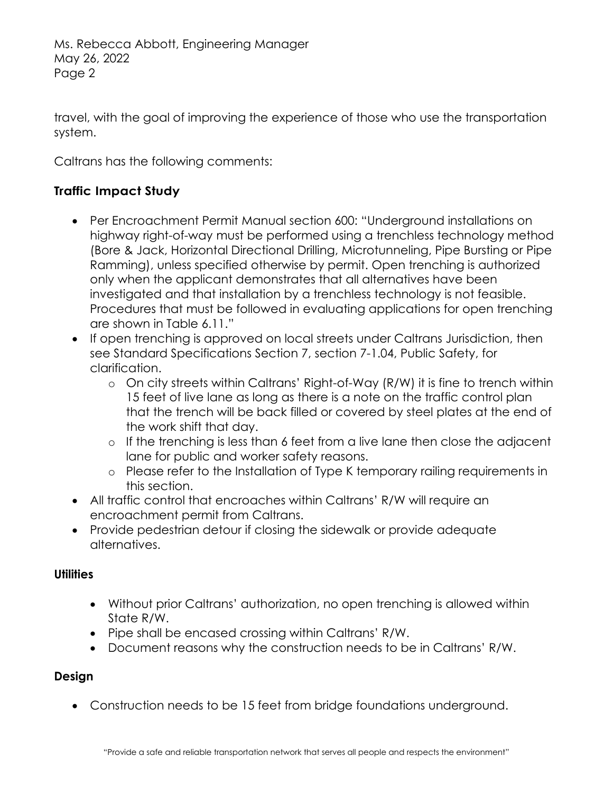travel, with the goal of improving the experience of those who use the transportation system.

Caltrans has the following comments:

# **Traffic Impact Study**

- Per Encroachment Permit Manual section 600: "Underground installations on highway right-of-way must be performed using a trenchless technology method (Bore & Jack, Horizontal Directional Drilling, Microtunneling, Pipe Bursting or Pipe Ramming), unless specified otherwise by permit. Open trenching is authorized only when the applicant demonstrates that all alternatives have been investigated and that installation by a trenchless technology is not feasible. Procedures that must be followed in evaluating applications for open trenching are shown in Table 6.11."
- If open trenching is approved on local streets under Caltrans Jurisdiction, then see Standard Specifications Section 7, section 7-1.04, Public Safety, for clarification.
	- o On city streets within Caltrans' Right-of-Way (R/W) it is fine to trench within 15 feet of live lane as long as there is a note on the traffic control plan that the trench will be back filled or covered by steel plates at the end of the work shift that day.
	- o If the trenching is less than 6 feet from a live lane then close the adjacent lane for public and worker safety reasons.
	- o Please refer to the Installation of Type K temporary railing requirements in this section.
- All traffic control that encroaches within Caltrans' R/W will require an encroachment permit from Caltrans.
- Provide pedestrian detour if closing the sidewalk or provide adequate alternatives.

#### **Utilities**

- Without prior Caltrans' authorization, no open trenching is allowed within State R/W.
- Pipe shall be encased crossing within Caltrans' R/W.
- Document reasons why the construction needs to be in Caltrans' R/W.

# **Design**

• Construction needs to be 15 feet from bridge foundations underground.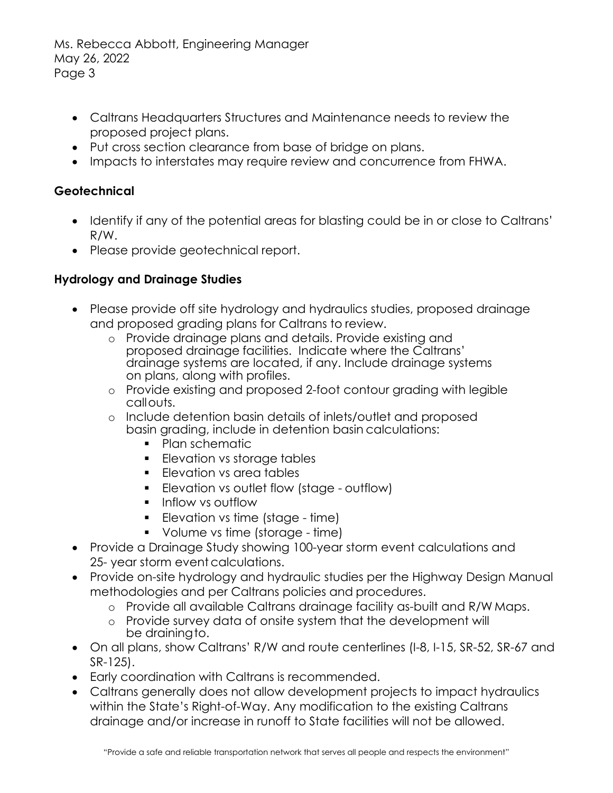- Caltrans Headquarters Structures and Maintenance needs to review the proposed project plans.
- Put cross section clearance from base of bridge on plans.
- Impacts to interstates may require review and concurrence from FHWA.

# **Geotechnical**

- Identify if any of the potential areas for blasting could be in or close to Caltrans' R/W.
- Please provide geotechnical report.

#### **Hydrology and Drainage Studies**

- Please provide off site hydrology and hydraulics studies, proposed drainage and proposed grading plans for Caltrans to review.
	- o Provide drainage plans and details. Provide existing and proposed drainage facilities. Indicate where the Caltrans' drainage systems are located, if any. Include drainage systems on plans, along with profiles.
	- o Provide existing and proposed 2-foot contour grading with legible callouts.
	- o Include detention basin details of inlets/outlet and proposed basin grading, include in detention basin calculations:
		- Plan schematic
		- **Elevation vs storage tables**
		- **Elevation vs area tables**
		- **Elevation vs outlet flow (stage outflow)**
		- **Inflow vs outflow**
		- **Elevation vs time (stage time)**
		- Volume vs time (storage time)
- Provide a Drainage Study showing 100-year storm event calculations and 25- year storm event calculations.
- Provide on-site hydrology and hydraulic studies per the Highway Design Manual methodologies and per Caltrans policies and procedures.
	- o Provide all available Caltrans drainage facility as-built and R/W Maps.
	- o Provide survey data of onsite system that the development will be draining to.
- On all plans, show Caltrans' R/W and route centerlines (I-8, I-15, SR-52, SR-67 and SR-125).
- Early coordination with Caltrans is recommended.
- Caltrans generally does not allow development projects to impact hydraulics within the State's Right-of-Way. Any modification to the existing Caltrans drainage and/or increase in runoff to State facilities will not be allowed.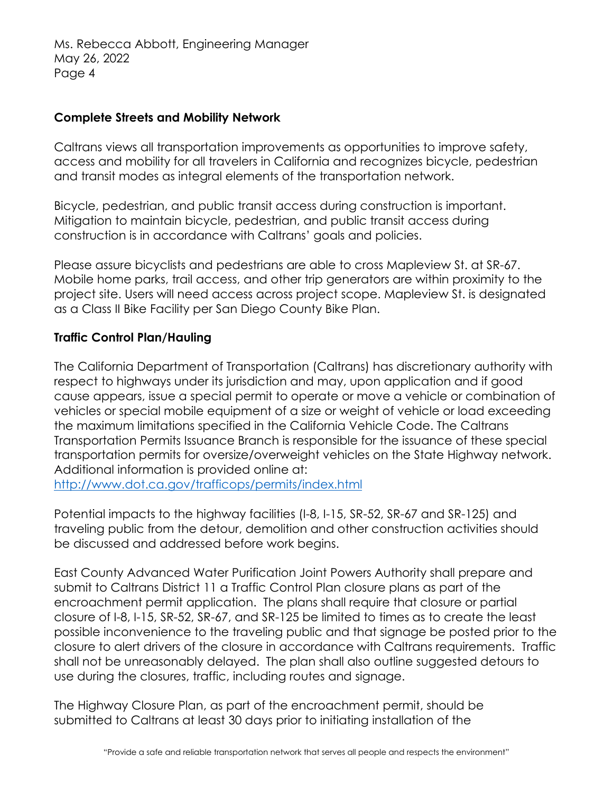#### **Complete Streets and Mobility Network**

Caltrans views all transportation improvements as opportunities to improve safety, access and mobility for all travelers in California and recognizes bicycle, pedestrian and transit modes as integral elements of the transportation network.

Bicycle, pedestrian, and public transit access during construction is important. Mitigation to maintain bicycle, pedestrian, and public transit access during construction is in accordance with Caltrans' goals and policies.

Please assure bicyclists and pedestrians are able to cross Mapleview St. at SR-67. Mobile home parks, trail access, and other trip generators are within proximity to the project site. Users will need access across project scope. Mapleview St. is designated as a Class II Bike Facility per San Diego County Bike Plan.

# **Traffic Control Plan/Hauling**

The California Department of Transportation (Caltrans) has discretionary authority with respect to highways under its jurisdiction and may, upon application and if good cause appears, issue a special permit to operate or move a vehicle or combination of vehicles or special mobile equipment of a size or weight of vehicle or load exceeding the maximum limitations specified in the California Vehicle Code. The Caltrans Transportation Permits Issuance Branch is responsible for the issuance of these special transportation permits for oversize/overweight vehicles on the State Highway network. Additional information is provided online at:

<http://www.dot.ca.gov/trafficops/permits/index.html>

Potential impacts to the highway facilities (I-8, I-15, SR-52, SR-67 and SR-125) and traveling public from the detour, demolition and other construction activities should be discussed and addressed before work begins.

East County Advanced Water Purification Joint Powers Authority shall prepare and submit to Caltrans District 11 a Traffic Control Plan closure plans as part of the encroachment permit application. The plans shall require that closure or partial closure of I-8, I-15, SR-52, SR-67, and SR-125 be limited to times as to create the least possible inconvenience to the traveling public and that signage be posted prior to the closure to alert drivers of the closure in accordance with Caltrans requirements. Traffic shall not be unreasonably delayed. The plan shall also outline suggested detours to use during the closures, traffic, including routes and signage.

The Highway Closure Plan, as part of the encroachment permit, should be submitted to Caltrans at least 30 days prior to initiating installation of the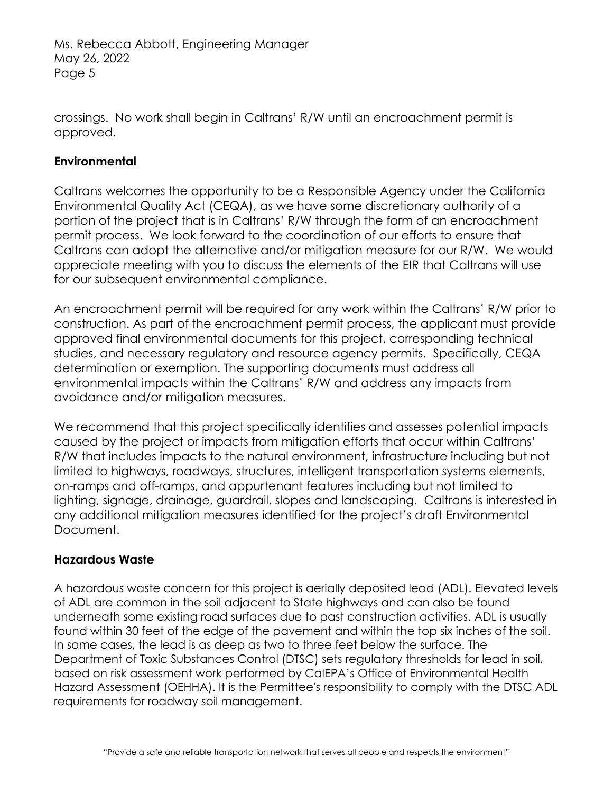crossings. No work shall begin in Caltrans' R/W until an encroachment permit is approved.

#### **Environmental**

Caltrans welcomes the opportunity to be a Responsible Agency under the California Environmental Quality Act (CEQA), as we have some discretionary authority of a portion of the project that is in Caltrans' R/W through the form of an encroachment permit process. We look forward to the coordination of our efforts to ensure that Caltrans can adopt the alternative and/or mitigation measure for our R/W. We would appreciate meeting with you to discuss the elements of the EIR that Caltrans will use for our subsequent environmental compliance.

An encroachment permit will be required for any work within the Caltrans' R/W prior to construction. As part of the encroachment permit process, the applicant must provide approved final environmental documents for this project, corresponding technical studies, and necessary regulatory and resource agency permits. Specifically, CEQA determination or exemption. The supporting documents must address all environmental impacts within the Caltrans' R/W and address any impacts from avoidance and/or mitigation measures.

We recommend that this project specifically identifies and assesses potential impacts caused by the project or impacts from mitigation efforts that occur within Caltrans' R/W that includes impacts to the natural environment, infrastructure including but not limited to highways, roadways, structures, intelligent transportation systems elements, on-ramps and off-ramps, and appurtenant features including but not limited to lighting, signage, drainage, guardrail, slopes and landscaping. Caltrans is interested in any additional mitigation measures identified for the project's draft Environmental Document.

#### **Hazardous Waste**

A hazardous waste concern for this project is aerially deposited lead (ADL). Elevated levels of ADL are common in the soil adjacent to State highways and can also be found underneath some existing road surfaces due to past construction activities. ADL is usually found within 30 feet of the edge of the pavement and within the top six inches of the soil. In some cases, the lead is as deep as two to three feet below the surface. The Department of Toxic Substances Control (DTSC) sets regulatory thresholds for lead in soil, based on risk assessment work performed by CalEPA's Office of Environmental Health Hazard Assessment (OEHHA). It is the Permittee's responsibility to comply with the DTSC ADL requirements for roadway soil management.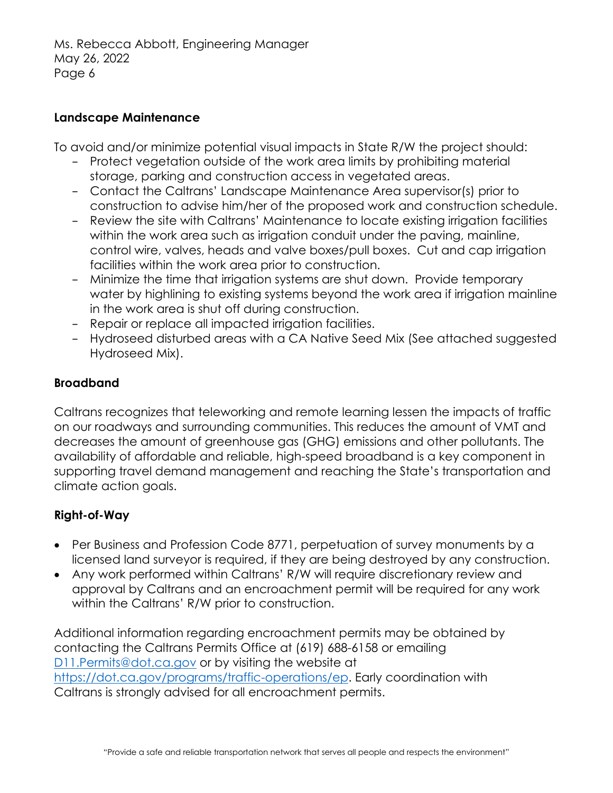#### **Landscape Maintenance**

To avoid and/or minimize potential visual impacts in State R/W the project should:

- − Protect vegetation outside of the work area limits by prohibiting material storage, parking and construction access in vegetated areas.
- − Contact the Caltrans' Landscape Maintenance Area supervisor(s) prior to construction to advise him/her of the proposed work and construction schedule.
- − Review the site with Caltrans' Maintenance to locate existing irrigation facilities within the work area such as irrigation conduit under the paving, mainline, control wire, valves, heads and valve boxes/pull boxes. Cut and cap irrigation facilities within the work area prior to construction.
- − Minimize the time that irrigation systems are shut down. Provide temporary water by highlining to existing systems beyond the work area if irrigation mainline in the work area is shut off during construction.
- − Repair or replace all impacted irrigation facilities.
- − Hydroseed disturbed areas with a CA Native Seed Mix (See attached suggested Hydroseed Mix).

# **Broadband**

Caltrans recognizes that teleworking and remote learning lessen the impacts of traffic on our roadways and surrounding communities. This reduces the amount of VMT and decreases the amount of greenhouse gas (GHG) emissions and other pollutants. The availability of affordable and reliable, high-speed broadband is a key component in supporting travel demand management and reaching the State's transportation and climate action goals.

# **Right-of-Way**

- Per Business and Profession Code 8771, perpetuation of survey monuments by a licensed land surveyor is required, if they are being destroyed by any construction.
- Any work performed within Caltrans' R/W will require discretionary review and approval by Caltrans and an encroachment permit will be required for any work within the Caltrans' R/W prior to construction.

Additional information regarding encroachment permits may be obtained by contacting the Caltrans Permits Office at (619) 688-6158 or emailing [D11.Permits@dot.ca.gov](mailto:D11.Permits@dot.ca.gov) or by visiting the website at [https://dot.ca.gov/programs/traffic-operations/ep.](https://dot.ca.gov/programs/traffic-operations/ep) Early coordination with Caltrans is strongly advised for all encroachment permits.